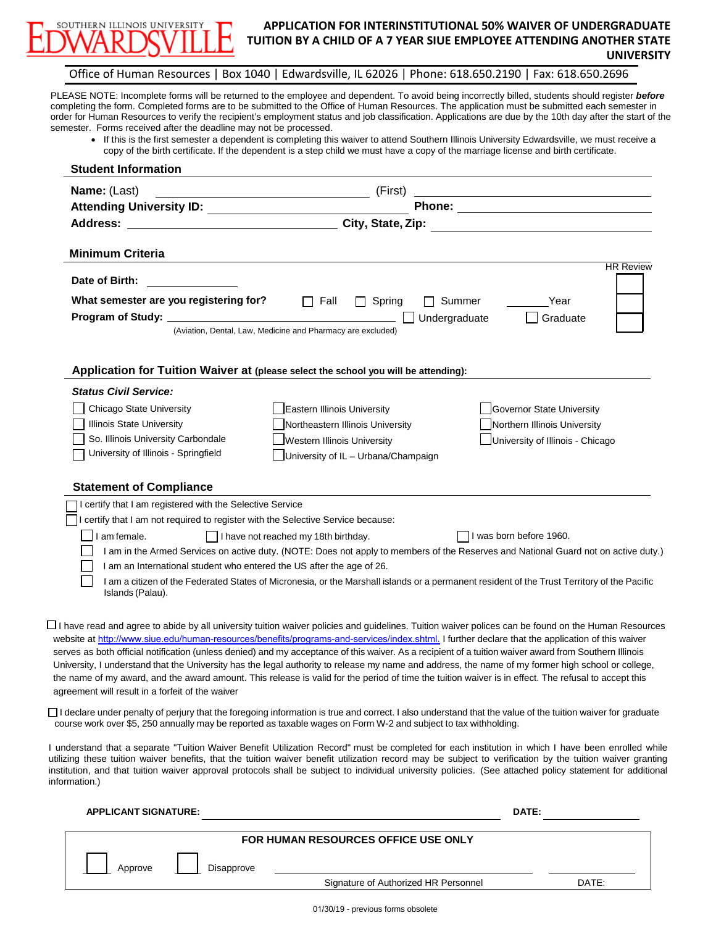

information.)

### **APPLICATION FOR INTERINSTITUTIONAL 50% WAIVER OF UNDERGRADUATE TUITION BY A CHILD OF A 7 YEAR SIUE EMPLOYEE ATTENDING ANOTHER STATE UNIVERSITY**

#### Office of Human Resources | Box 1040 | Edwardsville, IL 62026 | Phone: 618.650.2190 | Fax: 618.650.2696

PLEASE NOTE: Incomplete forms will be returned to the employee and dependent. To avoid being incorrectly billed, students should register *before*  completing the form. Completed forms are to be submitted to the Office of Human Resources. The application must be submitted each semester in order for Human Resources to verify the recipient's employment status and job classification. Applications are due by the 10th day after the start of the semester. Forms received after the deadline may not be processed.

• If this is the first semester a dependent is completing this waiver to attend Southern Illinois University Edwardsville, we must receive a copy of the birth certificate. If the dependent is a step child we must have a copy of the marriage license and birth certificate.

| <b>Student Information</b>                                                                                                                                                                                                                                                                                                                                                                                                                                                                                                                                                                                                                                                                                                                                                                                                            |                                                      |
|---------------------------------------------------------------------------------------------------------------------------------------------------------------------------------------------------------------------------------------------------------------------------------------------------------------------------------------------------------------------------------------------------------------------------------------------------------------------------------------------------------------------------------------------------------------------------------------------------------------------------------------------------------------------------------------------------------------------------------------------------------------------------------------------------------------------------------------|------------------------------------------------------|
| Name: (Last)<br>(First)<br><u> 1989 - Johann Barn, fransk politik fotograf (d. 1989)</u>                                                                                                                                                                                                                                                                                                                                                                                                                                                                                                                                                                                                                                                                                                                                              |                                                      |
|                                                                                                                                                                                                                                                                                                                                                                                                                                                                                                                                                                                                                                                                                                                                                                                                                                       |                                                      |
| City, State, Zip:<br>Address: Andreas Address and Address and Address and Address and Address and Address and Address and Address a                                                                                                                                                                                                                                                                                                                                                                                                                                                                                                                                                                                                                                                                                                   |                                                      |
| <b>Minimum Criteria</b>                                                                                                                                                                                                                                                                                                                                                                                                                                                                                                                                                                                                                                                                                                                                                                                                               |                                                      |
| Date of Birth:                                                                                                                                                                                                                                                                                                                                                                                                                                                                                                                                                                                                                                                                                                                                                                                                                        | <b>HR Review</b>                                     |
| What semester are you registering for?<br>$\Box$ Fall<br>$\Box$ Spring<br>Program of Study: ___________________<br>(Aviation, Dental, Law, Medicine and Pharmacy are excluded)                                                                                                                                                                                                                                                                                                                                                                                                                                                                                                                                                                                                                                                        | <b>□ Summer</b><br>Year<br>Graduate<br>Undergraduate |
| Application for Tuition Waiver at (please select the school you will be attending):                                                                                                                                                                                                                                                                                                                                                                                                                                                                                                                                                                                                                                                                                                                                                   |                                                      |
| <b>Status Civil Service:</b>                                                                                                                                                                                                                                                                                                                                                                                                                                                                                                                                                                                                                                                                                                                                                                                                          |                                                      |
| Chicago State University<br>Eastern Illinois University                                                                                                                                                                                                                                                                                                                                                                                                                                                                                                                                                                                                                                                                                                                                                                               | Governor State University                            |
| Illinois State University<br>Northeastern Illinois University                                                                                                                                                                                                                                                                                                                                                                                                                                                                                                                                                                                                                                                                                                                                                                         | Northern Illinois University                         |
| So. Illinois University Carbondale<br>Western Illinois University                                                                                                                                                                                                                                                                                                                                                                                                                                                                                                                                                                                                                                                                                                                                                                     | University of Illinois - Chicago                     |
| University of Illinois - Springfield<br>University of IL - Urbana/Champaign                                                                                                                                                                                                                                                                                                                                                                                                                                                                                                                                                                                                                                                                                                                                                           |                                                      |
| <b>Statement of Compliance</b>                                                                                                                                                                                                                                                                                                                                                                                                                                                                                                                                                                                                                                                                                                                                                                                                        |                                                      |
| I certify that I am registered with the Selective Service                                                                                                                                                                                                                                                                                                                                                                                                                                                                                                                                                                                                                                                                                                                                                                             |                                                      |
| I certify that I am not required to register with the Selective Service because:                                                                                                                                                                                                                                                                                                                                                                                                                                                                                                                                                                                                                                                                                                                                                      |                                                      |
| I am female.<br>      have not reached my 18th birthday.                                                                                                                                                                                                                                                                                                                                                                                                                                                                                                                                                                                                                                                                                                                                                                              | I was born before 1960.                              |
| I am in the Armed Services on active duty. (NOTE: Does not apply to members of the Reserves and National Guard not on active duty.)                                                                                                                                                                                                                                                                                                                                                                                                                                                                                                                                                                                                                                                                                                   |                                                      |
| I am an International student who entered the US after the age of 26.                                                                                                                                                                                                                                                                                                                                                                                                                                                                                                                                                                                                                                                                                                                                                                 |                                                      |
| I am a citizen of the Federated States of Micronesia, or the Marshall islands or a permanent resident of the Trust Territory of the Pacific<br>Islands (Palau).                                                                                                                                                                                                                                                                                                                                                                                                                                                                                                                                                                                                                                                                       |                                                      |
| L I have read and agree to abide by all university tuition waiver policies and guidelines. Tuition waiver polices can be found on the Human Resources<br>website at http://www.siue.edu/human-resources/benefits/programs-and-services/index.shtml. I further declare that the application of this waiver<br>serves as both official notification (unless denied) and my acceptance of this waiver. As a recipient of a tuition waiver award from Southern Illinois<br>University, I understand that the University has the legal authority to release my name and address, the name of my former high school or college,<br>the name of my award, and the award amount. This release is valid for the period of time the tuition waiver is in effect. The refusal to accept this<br>agreement will result in a forfeit of the waiver |                                                      |
| $\Box$ I declare under penalty of perjury that the foregoing information is true and correct. I also understand that the value of the tuition waiver for graduate<br>course work over \$5, 250 annually may be reported as taxable wages on Form W-2 and subject to tax withholding.                                                                                                                                                                                                                                                                                                                                                                                                                                                                                                                                                  |                                                      |
| I understand that a separate "Tuition Waiver Benefit Utilization Record" must be completed for each institution in which I have been enrolled while<br>utilizing these tuition waiver benefits, that the tuition waiver benefit utilization record may be subject to verification by the tuition waiver granting<br>institution, and that tuition waiver approval protocols shall be subject to individual university policies. (See attached policy statement for additional                                                                                                                                                                                                                                                                                                                                                         |                                                      |

| <b>APPLICANT SIGNATURE:</b> |            |                                      | DATE: |
|-----------------------------|------------|--------------------------------------|-------|
|                             |            | FOR HUMAN RESOURCES OFFICE USE ONLY  |       |
| Approve                     | Disapprove |                                      |       |
|                             |            | Signature of Authorized HR Personnel | DATE: |
|                             |            |                                      |       |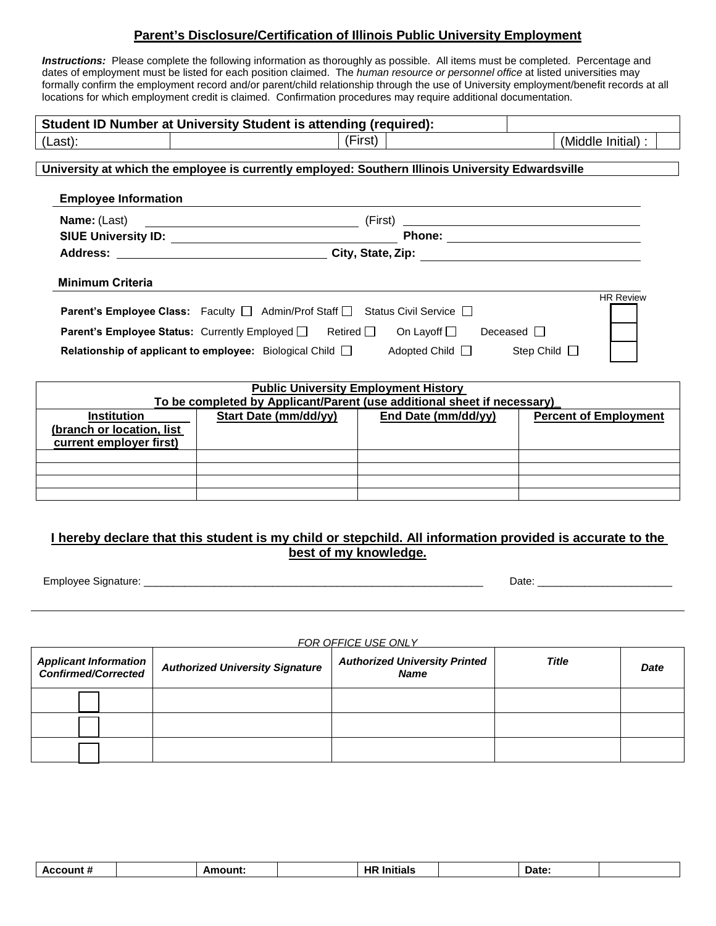# **Parent's Disclosure/Certification of Illinois Public University Employment**

**Instructions:** Please complete the following information as thoroughly as possible. All items must be completed. Percentage and dates of employment must be listed for each position claimed. The *human resource or personnel office* at listed universities may formally confirm the employment record and/or parent/child relationship through the use of University employment/benefit records at all locations for which employment credit is claimed. Confirmation procedures may require additional documentation.

|                                                                                                   | Student ID Number at University Student is attending (required):                                         |         |                              |  |  |  |  |  |
|---------------------------------------------------------------------------------------------------|----------------------------------------------------------------------------------------------------------|---------|------------------------------|--|--|--|--|--|
| (Last):                                                                                           |                                                                                                          | (First) | (Middle Initial):            |  |  |  |  |  |
|                                                                                                   |                                                                                                          |         |                              |  |  |  |  |  |
| University at which the employee is currently employed: Southern Illinois University Edwardsville |                                                                                                          |         |                              |  |  |  |  |  |
| <b>Employee Information</b>                                                                       |                                                                                                          |         |                              |  |  |  |  |  |
|                                                                                                   |                                                                                                          |         |                              |  |  |  |  |  |
|                                                                                                   |                                                                                                          |         |                              |  |  |  |  |  |
|                                                                                                   |                                                                                                          |         |                              |  |  |  |  |  |
|                                                                                                   |                                                                                                          |         |                              |  |  |  |  |  |
| <b>Minimum Criteria</b>                                                                           |                                                                                                          |         |                              |  |  |  |  |  |
|                                                                                                   | Parent's Employee Class: Faculty □ Admin/Prof Staff □ Status Civil Service □                             |         | <b>HR Review</b>             |  |  |  |  |  |
|                                                                                                   | <b>Parent's Employee Status:</b> Currently Employed   Retired   On Layoff   Deceased                     |         |                              |  |  |  |  |  |
|                                                                                                   | Relationship of applicant to employee: Biological Child $\Box$ Adopted Child $\Box$ Step Child $\Box$    |         |                              |  |  |  |  |  |
|                                                                                                   |                                                                                                          |         |                              |  |  |  |  |  |
|                                                                                                   | <b>Public University Employment History</b>                                                              |         |                              |  |  |  |  |  |
|                                                                                                   | To be completed by Applicant/Parent (use additional sheet if necessary)                                  |         |                              |  |  |  |  |  |
| <b>Institution</b><br>(branch or location, list                                                   | Start Date (mm/dd/yy)   End Date (mm/dd/yy)                                                              |         | <b>Percent of Employment</b> |  |  |  |  |  |
| current employer first)                                                                           |                                                                                                          |         |                              |  |  |  |  |  |
|                                                                                                   |                                                                                                          |         |                              |  |  |  |  |  |
|                                                                                                   |                                                                                                          |         |                              |  |  |  |  |  |
|                                                                                                   |                                                                                                          |         |                              |  |  |  |  |  |
|                                                                                                   |                                                                                                          |         |                              |  |  |  |  |  |
|                                                                                                   | I hereby declare that this student is my child or stepchild. All information provided is accurate to the |         |                              |  |  |  |  |  |
|                                                                                                   | best of my knowledge.                                                                                    |         |                              |  |  |  |  |  |
|                                                                                                   |                                                                                                          |         |                              |  |  |  |  |  |
| Employee Signature: _____________                                                                 |                                                                                                          |         |                              |  |  |  |  |  |

*FOR OFFICE USE ONLY*

| Applicant Information<br>Confirmed/Corrected | <b>Authorized University Signature</b> | <b>Authorized University Printed</b><br><b>Name</b> | <b>Title</b> | Date |
|----------------------------------------------|----------------------------------------|-----------------------------------------------------|--------------|------|
|                                              |                                        |                                                     |              |      |
|                                              |                                        |                                                     |              |      |
|                                              |                                        |                                                     |              |      |

| HF<br>Δr<br>ъ.<br>וחו<br>Daτe |
|-------------------------------|
|-------------------------------|